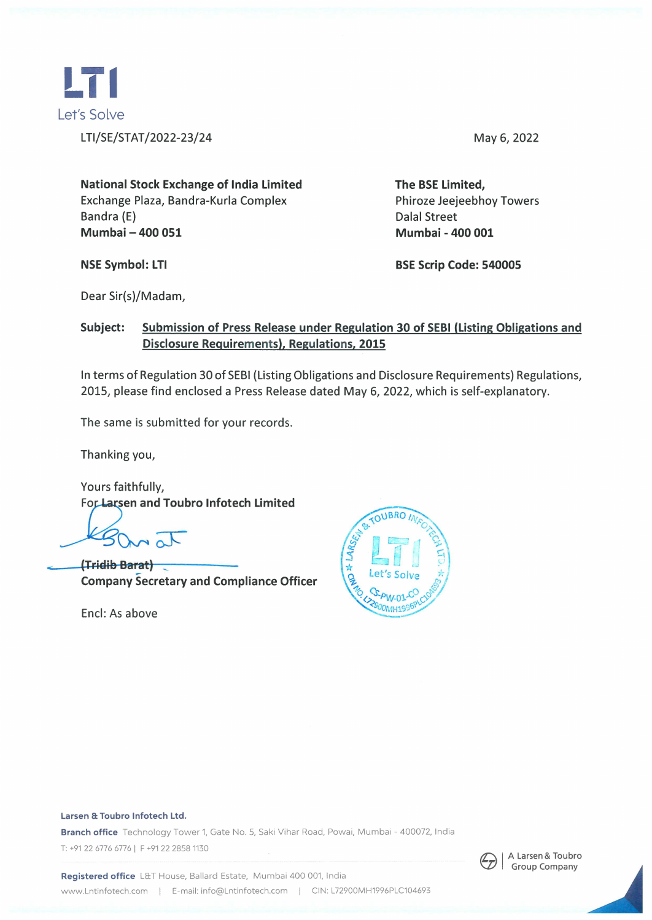

May 6, 2022

**National Stock Exchange of India Limited**  Exchange Plaza, Bandra-Kurla Complex Bandra (E) **Mumbai - 400 051** 

**NSE Symbol: LTI** 

Phiroze Jeejeebhoy Towers Dalal Street **Mumbai - 400 001** 

**The BSE Limited,** 

**BSE Scrip Code: 540005** 

Dear Sir(s)/Madam,

### **Subject: Submission of Press Release under Regulation 30 of SEBI (Listing Obligations and Disclosure Requirements), Regulations, 2015**

In terms of Regulation 30 of SEBI (Listing Obligations and Disclosure Requirements) Regulations, 2015, please find enclosed a Press Release dated May 6, 2022, which is self-explanatory.

The same is submitted for your records.

Thanking you,

Yours faithfully, For Larsen and Toubro Infotech Limited

**(TriElih Barat)** <sup>~</sup> **Company Secretary and Compliance Officer** 

Encl: As above

 $\leq$ 



#### Larsen & Toubro Infotech Ltd.

Branch office Technology Tower 1, Gate No. 5, Saki Vihar Road, Powai, Mumbai - 400072, India T: +91 22 6776 6776 | F +91 22 2858 1130



Registered office L&T House, Ballard Estate, Mumbai 400 001, India www.Lntinfotech.com | E-mail: info@Lntinfotech.com | CIN: L72900MH1996PLC104693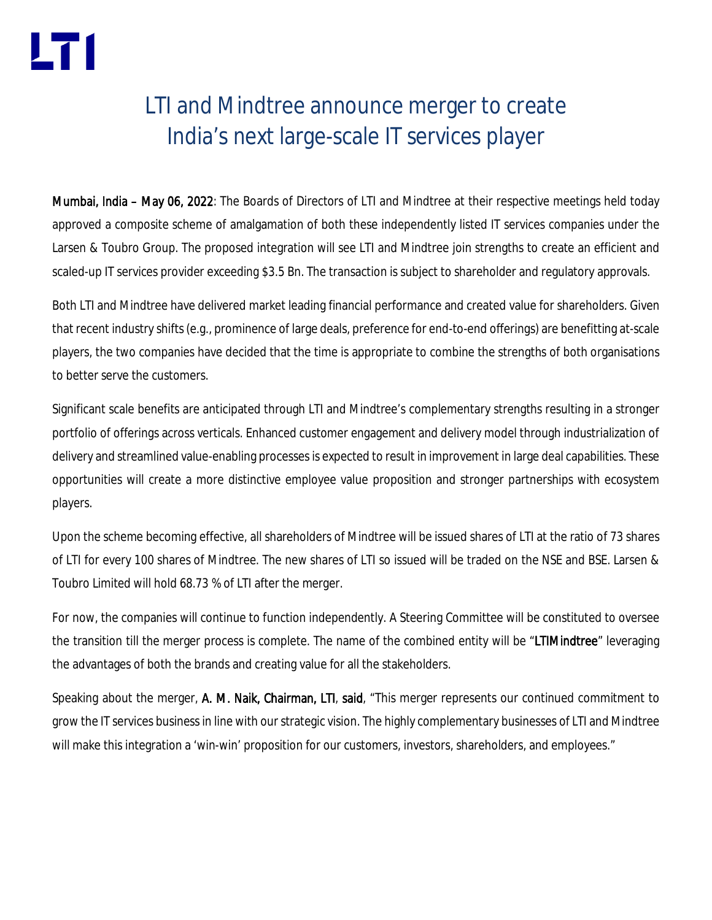## LTI and Mindtree announce merger to create India's next large-scale IT services player

Mumbai, India – May 06, 2022: The Boards of Directors of LTI and Mindtree at their respective meetings held today approved a composite scheme of amalgamation of both these independently listed IT services companies under the Larsen & Toubro Group. The proposed integration will see LTI and Mindtree join strengths to create an efficient and scaled-up IT services provider exceeding \$3.5 Bn. The transaction is subject to shareholder and regulatory approvals.

Both LTI and Mindtree have delivered market leading financial performance and created value for shareholders. Given that recent industry shifts (e.g., prominence of large deals, preference for end-to-end offerings) are benefitting at-scale players, the two companies have decided that the time is appropriate to combine the strengths of both organisations to better serve the customers.

Significant scale benefits are anticipated through LTI and Mindtree's complementary strengths resulting in a stronger portfolio of offerings across verticals. Enhanced customer engagement and delivery model through industrialization of delivery and streamlined value-enabling processes is expected to result in improvement in large deal capabilities. These opportunities will create a more distinctive employee value proposition and stronger partnerships with ecosystem players.

Upon the scheme becoming effective, all shareholders of Mindtree will be issued shares of LTI at the ratio of 73 shares of LTI for every 100 shares of Mindtree. The new shares of LTI so issued will be traded on the NSE and BSE. Larsen & Toubro Limited will hold 68.73 % of LTI after the merger.

For now, the companies will continue to function independently. A Steering Committee will be constituted to oversee the transition till the merger process is complete. The name of the combined entity will be "LTIMindtree" leveraging the advantages of both the brands and creating value for all the stakeholders.

Speaking about the merger, A. M. Naik, Chairman, LTI, said, "This merger represents our continued commitment to grow the IT services business in line with our strategic vision. The highly complementary businesses of LTI and Mindtree will make this integration a 'win-win' proposition for our customers, investors, shareholders, and employees."